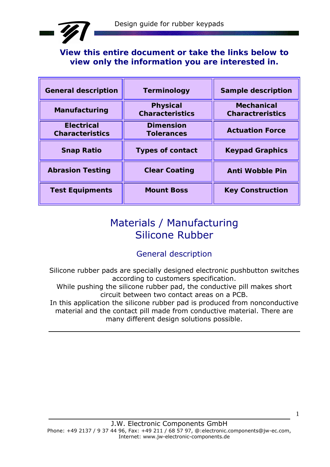

**View this entire document or take the links below to view only the information you are interested in.** 

| <b>General description</b>                  | <b>Terminology</b>                        | <b>Sample description</b>                    |
|---------------------------------------------|-------------------------------------------|----------------------------------------------|
| <b>Manufacturing</b>                        | <b>Physical</b><br><b>Characteristics</b> | <b>Mechanical</b><br><b>Charactreristics</b> |
| <b>Electrical</b><br><b>Characteristics</b> | <b>Dimension</b><br><b>Tolerances</b>     | <b>Actuation Force</b>                       |
| <b>Snap Ratio</b>                           | <b>Types of contact</b>                   | <b>Keypad Graphics</b>                       |
| <b>Abrasion Testing</b>                     | <b>Clear Coating</b>                      | <b>Anti Wobble Pin</b>                       |
| <b>Test Equipments</b>                      | <b>Mount Boss</b>                         | <b>Key Construction</b>                      |

# Materials / Manufacturing Silicone Rubber

## General description

Silicone rubber pads are specially designed electronic pushbutton switches according to customers specification.

While pushing the silicone rubber pad, the conductive pill makes short circuit between two contact areas on a PCB.

In this application the silicone rubber pad is produced from nonconductive material and the contact pill made from conductive material. There are many different design solutions possible.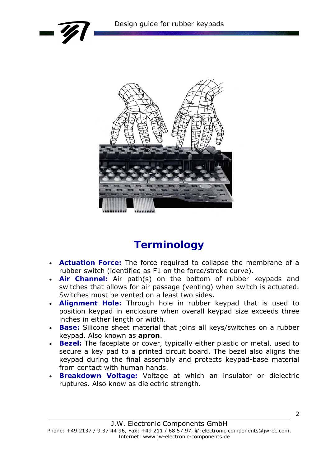





# **Terminology**

- **Actuation Force:** The force required to collapse the membrane of a rubber switch (identified as F1 on the force/stroke curve).
- **Air Channel:** Air path(s) on the bottom of rubber keypads and switches that allows for air passage (venting) when switch is actuated. Switches must be vented on a least two sides.
- **Alignment Hole:** Through hole in rubber keypad that is used to position keypad in enclosure when overall keypad size exceeds three inches in either length or width.
- **Base:** Silicone sheet material that joins all keys/switches on a rubber keypad. Also known as **apron**.
- **Bezel:** The faceplate or cover, typically either plastic or metal, used to secure a key pad to a printed circuit board. The bezel also aligns the keypad during the final assembly and protects keypad-base material from contact with human hands.
- **Breakdown Voltage:** Voltage at which an insulator or dielectric ruptures. Also know as dielectric strength.

Phone: +49 2137 / 9 37 44 96, Fax: +49 211 / 68 57 97, @:electronic.components@jw-ec.com, Internet: www.jw-electronic-components.de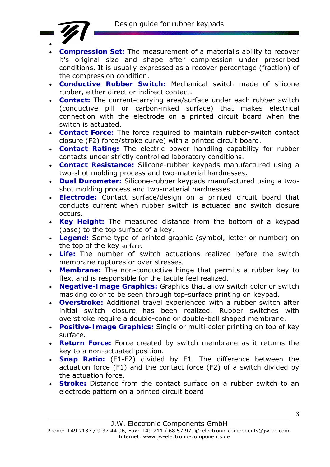

- **Compression Set:** The measurement of a material's ability to recover it's original size and shape after compression under prescribed conditions. It is usually expressed as a recover percentage (fraction) of the compression condition.
- **Conductive Rubber Switch:** Mechanical switch made of silicone rubber, either direct or indirect contact.
- **Contact:** The current-carrying area/surface under each rubber switch (conductive pill or carbon-inked surface) that makes electrical connection with the electrode on a printed circuit board when the switch is actuated.
- **Contact Force:** The force required to maintain rubber-switch contact closure (F2) force/stroke curve) with a printed circuit board.
- **Contact Rating:** The electric power handling capability for rubber contacts under strictly controlled laboratory conditions.
- **Contact Resistance:** Silicone-rubber keypads manufactured using a two-shot molding process and two-material hardnesses.
- **Dual Durometer:** Silicone-rubber keypads manufactured using a twoshot molding process and two-material hardnesses.
- **Electrode:** Contact surface/design on a printed circuit board that conducts current when rubber switch is actuated and switch closure occurs.
- **Key Height:** The measured distance from the bottom of a keypad (base) to the top surface of a key.
- **Legend:** Some type of printed graphic (symbol, letter or number) on the top of the key surface.
- **Life:** The number of switch actuations realized before the switch membrane ruptures or over stresses.
- **Membrane:** The non-conductive hinge that permits a rubber key to flex, and is responsible for the tactile feel realized.
- **Negative-Image Graphics:** Graphics that allow switch color or switch masking color to be seen through top-surface printing on keypad.
- **Overstroke:** Additional travel experienced with a rubber switch after initial switch closure has been realized. Rubber switches with overstroke require a double-cone or double-bell shaped membrane.
- **Positive-Image Graphics:** Single or multi-color printing on top of key surface.
- **Return Force:** Force created by switch membrane as it returns the key to a non-actuated position.
- **Snap Ratio:** (F1-F2) divided by F1. The difference between the actuation force (F1) and the contact force (F2) of a switch divided by the actuation force.
- **Stroke:** Distance from the contact surface on a rubber switch to an electrode pattern on a printed circuit board

J.W. Electronic Components GmbH

Phone: +49 2137 / 9 37 44 96, Fax: +49 211 / 68 57 97, @:electronic.components@jw-ec.com, Internet: www.jw-electronic-components.de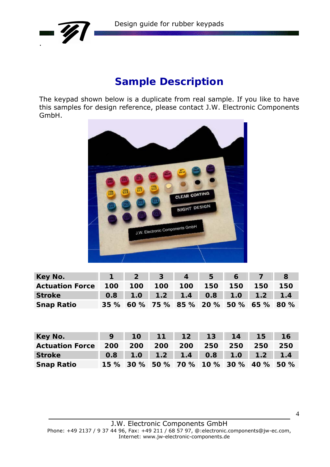



# **Sample Description**

The keypad shown below is a duplicate from real sample. If you like to have this samples for design reference, please contact J.W. Electronic Components GmbH.



| Key No.                                     | 1 2 3 4 5 6 7 8                         |  |  |     |
|---------------------------------------------|-----------------------------------------|--|--|-----|
| Actuation Force 100 100 100 100 150 150 150 |                                         |  |  | 150 |
| <b>Stroke</b>                               | 0.8 1.0 1.2 1.4 0.8 1.0 1.2 1.4         |  |  |     |
| <b>Snap Ratio</b>                           | 35 % 60 % 75 % 85 % 20 % 50 % 65 % 80 % |  |  |     |

| Key No.                                         |  | 9 10 11 12 13 14 15 16                  |  |  |  |
|-------------------------------------------------|--|-----------------------------------------|--|--|--|
| Actuation Force 200 200 200 200 250 250 250 250 |  |                                         |  |  |  |
| <b>Stroke</b>                                   |  | 0.8 1.0 1.2 1.4 0.8 1.0 1.2 1.4         |  |  |  |
| <b>Snap Ratio</b>                               |  | 15 % 30 % 50 % 70 % 10 % 30 % 40 % 50 % |  |  |  |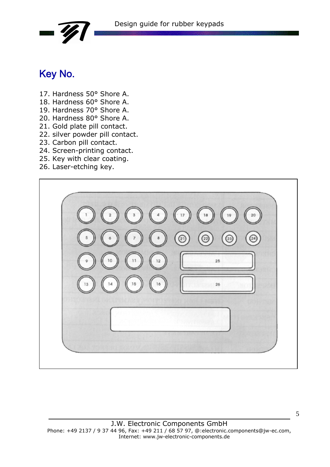

# Key No.

- 17. Hardness 50° Shore A.
- 18. Hardness 60° Shore A.
- 19. Hardness 70° Shore A.
- 20. Hardness 80° Shore A.
- 21. Gold plate pill contact.
- 22. silver powder pill contact.
- 23. Carbon pill contact.
- 24. Screen-printing contact.
- 25. Key with clear coating.
- 26. Laser-etching key.

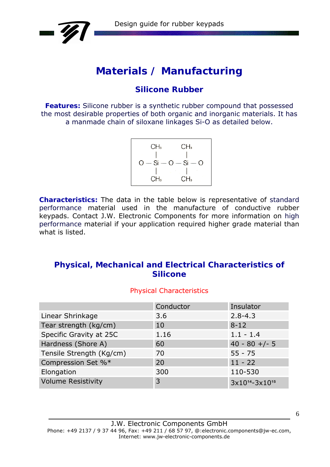

# **Materials / Manufacturing**

# **Silicone Rubber**

**Features:** Silicone rubber is a synthetic rubber compound that possessed the most desirable properties of both organic and inorganic materials. It has a manmade chain of siloxane linkages Si-O as detailed below.

**Characteristics:** The data in the table below is representative of *standard performance* material used in the manufacture of conductive rubber keypads. Contact J.W. Electronic Components for more information on *high performance* material if your application required higher grade material than what is listed.

## **Physical, Mechanical and Electrical Characteristics of Silicone**

#### Physical Characteristics

|                           | Conductor | Insulator               |
|---------------------------|-----------|-------------------------|
| Linear Shrinkage          | 3.6       | $2.8 - 4.3$             |
| Tear strength (kg/cm)     | 10        | $8 - 12$                |
| Specific Gravity at 25C   | 1.16      | $1.1 - 1.4$             |
| Hardness (Shore A)        | 60        | $40 - 80 + (-5)$        |
| Tensile Strength (Kg/cm)  | 70        | $55 - 75$               |
| Compression Set %*        | 20        | $11 - 22$               |
| Elongation                | 300       | 110-530                 |
| <b>Volume Resistivity</b> | 3         | $3x10^{14} - 3x10^{15}$ |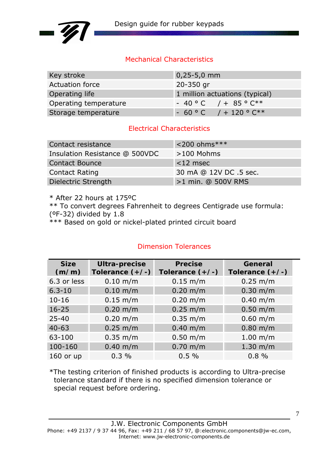

### Mechanical Characteristics

| Key stroke            | $0,25 - 5,0$ mm                |
|-----------------------|--------------------------------|
| Actuation force       | 20-350 gr                      |
| Operating life        | 1 million actuations (typical) |
| Operating temperature | $-40$ ° C $/ +85$ ° C**        |
| Storage temperature   | $-60$ ° C $/ +120$ ° C**       |

#### Electrical Characteristics

| Contact resistance             | $<$ 200 ohms***        |
|--------------------------------|------------------------|
| Insulation Resistance @ 500VDC | $>100$ Mohms           |
| <b>Contact Bounce</b>          | $<$ 12 msec            |
| <b>Contact Rating</b>          | 30 mA @ 12V DC .5 sec. |
| Dielectric Strength            | >1 min. @ 500V RMS     |

\* After 22 hours at 175ºC

\*\* To convert degrees Fahrenheit to degrees Centigrade use formula:

(ºF-32) divided by 1.8

\*\*\* Based on gold or nickel-plated printed circuit board

### Dimension Tolerances

| <b>Size</b><br>(m/m) | <b>Ultra-precise</b><br>Tolerance $(+/-)$ | <b>Precise</b><br>Tolerance $(+/-)$ | General<br>Tolerance $(+/-)$ |
|----------------------|-------------------------------------------|-------------------------------------|------------------------------|
| 6.3 or less          | $0.10 \; \text{m/m}$                      | $0.15 \; m/m$                       | $0.25 \; m/m$                |
| $6.3 - 10$           | $0.10$ m/m                                | $0.20 \; \text{m/m}$                | $0.30 \; \text{m/m}$         |
| $10 - 16$            | $0.15 \; m/m$                             | $0.20 \; \text{m/m}$                | $0.40 \; \text{m/m}$         |
| $16 - 25$            | $0.20 \; \text{m/m}$                      | $0.25 \, \text{m/m}$                | $0.50$ m/m                   |
| $25 - 40$            | $0.20 \; \text{m/m}$                      | $0.35 \; m/m$                       | $0.60$ m/m                   |
| $40 - 63$            | $0.25 \; m/m$                             | $0.40 \; \text{m/m}$                | $0.80$ m/m                   |
| 63-100               | $0.35 \; m/m$                             | $0.50$ m/m                          | $1.00$ m/m                   |
| 100-160              | $0.40 \; \text{m/m}$                      | $0.70$ m/m                          | $1.30 \; \text{m/m}$         |
| $160$ or up          | 0.3%                                      | 0.5%                                | 0.8%                         |

\*The testing criterion of finished products is according to Ultra-precise tolerance standard if there is no specified dimension tolerance or special request before ordering.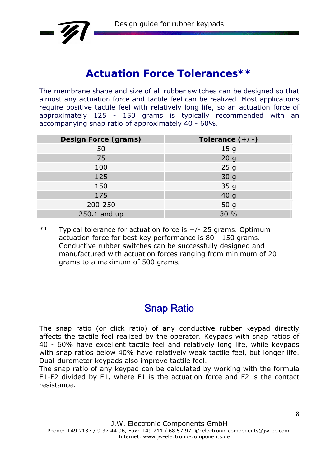

# **Actuation Force Tolerances\*\***

The membrane shape and size of all rubber switches can be designed so that almost any actuation force and tactile feel can be realized. Most applications require positive tactile feel with relatively long life, so an actuation force of approximately 125 - 150 grams is typically recommended with an accompanying snap ratio of approximately 40 - 60%.

| <b>Design Force (grams)</b> | Tolerance $(+/-)$ |
|-----------------------------|-------------------|
| 50                          | 15 <sub>g</sub>   |
| 75                          | 20 <sub>g</sub>   |
| 100                         | 25g               |
| 125                         | 30 <sub>g</sub>   |
| 150                         | 35 <sub>g</sub>   |
| 175                         | 40 <sub>g</sub>   |
| 200-250                     | 50 <sub>g</sub>   |
| 250.1 and up                | 30 %              |

 $**$  Typical tolerance for actuation force is  $+/- 25$  grams. Optimum actuation force for best key performance is 80 - 150 grams. Conductive rubber switches can be successfully designed and manufactured with actuation forces ranging from minimum of 20 grams to a maximum of 500 grams.

# Snap Ratio

The snap ratio (or click ratio) of any conductive rubber keypad directly affects the tactile feel realized by the operator. Keypads with snap ratios of 40 - 60% have excellent tactile feel and relatively long life, while keypads with snap ratios below 40% have relatively weak tactile feel, but longer life. Dual-durometer keypads also improve tactile feel.

The snap ratio of any keypad can be calculated by working with the formula F1-F2 divided by F1, where F1 is the actuation force and F2 is the contact resistance.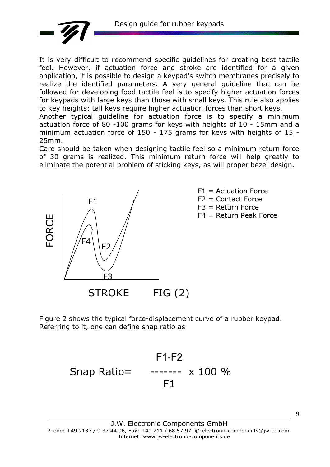Design guide for rubber keypads



It is very difficult to recommend specific guidelines for creating best tactile feel. However, if actuation force and stroke are identified for a given application, it is possible to design a keypad's switch membranes precisely to realize the identified parameters. A very general guideline that can be followed for developing food tactile feel is to specify higher actuation forces for keypads with large keys than those with small keys. This rule also applies to key heights: tall keys require higher actuation forces than short keys.

Another typical guideline for actuation force is to specify a minimum actuation force of 80 -100 grams for keys with heights of 10 - 15mm and a minimum actuation force of 150 - 175 grams for keys with heights of 15 - 25mm.

Care should be taken when designing tactile feel so a minimum return force of 30 grams is realized. This minimum return force will help greatly to eliminate the potential problem of sticking keys, as will proper bezel design.



Figure 2 shows the typical force-displacement curve of a rubber keypad. Referring to it, one can define snap ratio as

# F1-F2 Snap Ratio= ------- x 100 % F1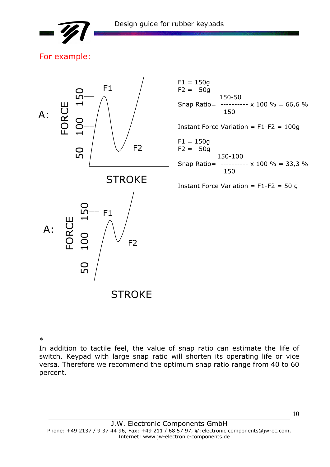

### For example:



\*

In addition to tactile feel, the value of snap ratio can estimate the life of switch. Keypad with large snap ratio will shorten its operating life or vice versa. Therefore we recommend the optimum snap ratio range from 40 to 60 percent.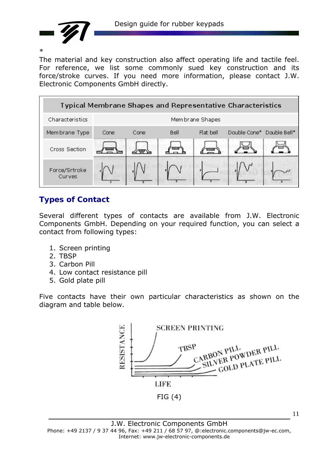

\*

The material and key construction also affect operating life and tactile feel. For reference, we list some commonly sued key construction and its force/stroke curves. If you need more information, please contact J.W. Electronic Components GmbH directly.



# **Types of Contact**

Several different types of contacts are available from J.W. Electronic Components GmbH. Depending on your required function, you can select a contact from following types:

- 1. Screen printing
- 2. TBSP
- 3. Carbon Pill
- 4. Low contact resistance pill
- 5. Gold plate pill

Five contacts have their own particular characteristics as shown on the diagram and table below.



11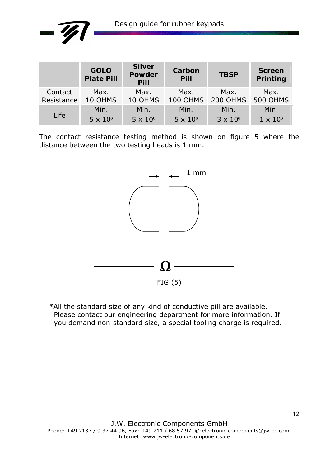

|                       | <b>GOLO</b><br><b>Plate Pill</b> | <b>Silver</b><br><b>Powder</b><br>Pill | Carbon<br><b>Pill</b>   | <b>TBSP</b>      | <b>Screen</b><br>Printing |
|-----------------------|----------------------------------|----------------------------------------|-------------------------|------------------|---------------------------|
| Contact<br>Resistance | Max.<br>10 OHMS                  | Max.<br>10 OHMS                        | Max.<br><b>100 OHMS</b> | Max.<br>200 OHMS | Max.<br><b>500 OHMS</b>   |
|                       | Min.                             | Min.                                   | Min.                    | Min.             | Min.                      |
| Life                  | $5 \times 10^6$                  | $5 \times 10^6$                        | $5 \times 10^6$         | $3 \times 10^6$  | $1 \times 10^6$           |

The contact resistance testing method is shown on figure 5 where the distance between the two testing heads is 1 mm.



\*All the standard size of any kind of conductive pill are available. Please contact our engineering department for more information. If you demand non-standard size, a special tooling charge is required.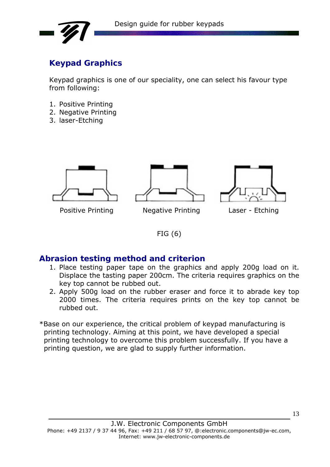

# **Keypad Graphics**

Keypad graphics is one of our speciality, one can select his favour type from following:

- 1. Positive Printing
- 2. Negative Printing
- 3. laser-Etching



Positive Printing Negative Printing Laser - Etching





### FIG (6)

## **Abrasion testing method and criterion**

- 1. Place testing paper tape on the graphics and apply 200g load on it. Displace the tasting paper 200cm. The criteria requires graphics on the key top cannot be rubbed out.
- 2. Apply 500g load on the rubber eraser and force it to abrade key top 2000 times. The criteria requires prints on the key top cannot be rubbed out.
- \*Base on our experience, the critical problem of keypad manufacturing is printing technology. Aiming at this point, we have developed a special printing technology to overcome this problem successfully. If you have a printing question, we are glad to supply further information.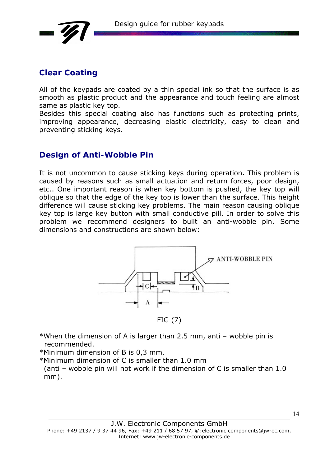

## **Clear Coating**

All of the keypads are coated by a thin special ink so that the surface is as smooth as plastic product and the appearance and touch feeling are almost same as plastic key top.

Besides this special coating also has functions such as protecting prints, improving appearance, decreasing elastic electricity, easy to clean and preventing sticking keys.

### **Design of Anti-Wobble Pin**

It is not uncommon to cause sticking keys during operation. This problem is caused by reasons such as small actuation and return forces, poor design, etc.. One important reason is when key bottom is pushed, the key top will oblique so that the edge of the key top is lower than the surface. This height difference will cause sticking key problems. The main reason causing oblique key top is large key button with small conductive pill. In order to solve this problem we recommend designers to built an anti-wobble pin. Some dimensions and constructions are shown below:



FIG (7)

- \*When the dimension of A is larger than 2.5 mm, anti wobble pin is recommended.
- \*Minimum dimension of B is 0,3 mm.
- \*Minimum dimension of C is smaller than 1.0 mm
	- (anti wobble pin will not work if the dimension of C is smaller than 1.0 mm).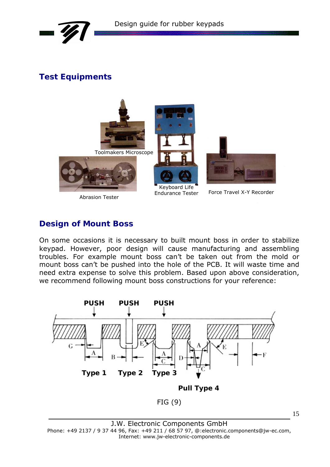



# **Test Equipments**



### **Design of Mount Boss**

On some occasions it is necessary to built mount boss in order to stabilize keypad. However, poor design will cause manufacturing and assembling troubles. For example mount boss can't be taken out from the mold or mount boss can't be pushed into the hole of the PCB. It will waste time and need extra expense to solve this problem. Based upon above consideration, we recommend following mount boss constructions for your reference:



J.W. Electronic Components GmbH Phone: +49 2137 / 9 37 44 96, Fax: +49 211 / 68 57 97, @:electronic.components@jw-ec.com, Internet: www.jw-electronic-components.de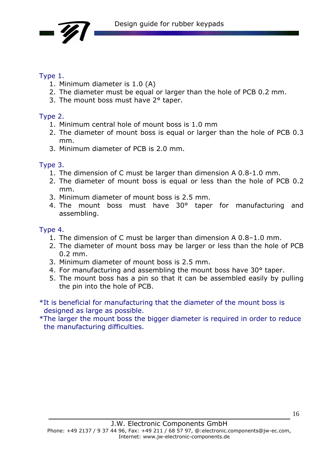

### Type 1.

- 1. Minimum diameter is 1.0 (A)
- 2. The diameter must be equal or larger than the hole of PCB 0.2 mm.
- 3. The mount boss must have 2° taper.

## Type 2.

- 1. Minimum central hole of mount boss is 1.0 mm
- 2. The diameter of mount boss is equal or larger than the hole of PCB 0.3 mm.
- 3. Minimum diameter of PCB is 2.0 mm.

### Type 3.

- 1. The dimension of C must be larger than dimension A 0.8-1.0 mm.
- 2. The diameter of mount boss is equal or less than the hole of PCB 0.2 mm.
- 3. Minimum diameter of mount boss is 2.5 mm.
- 4. The mount boss must have 30° taper for manufacturing and assembling.

## Type 4.

- 1. The dimension of C must be larger than dimension A 0.8–1.0 mm.
- 2. The diameter of mount boss may be larger or less than the hole of PCB 0.2 mm.
- 3. Minimum diameter of mount boss is 2.5 mm.
- 4. For manufacturing and assembling the mount boss have 30° taper.
- 5. The mount boss has a pin so that it can be assembled easily by pulling the pin into the hole of PCB.
- \*It is beneficial for manufacturing that the diameter of the mount boss is designed as large as possible.

\*The larger the mount boss the bigger diameter is required in order to reduce the manufacturing difficulties.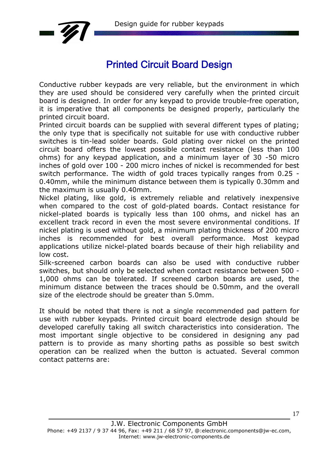

# Printed Circuit Board Design

Conductive rubber keypads are very reliable, but the environment in which they are used should be considered very carefully when the printed circuit board is designed. In order for any keypad to provide trouble-free operation, it is imperative that all components be designed properly, particularly the printed circuit board.

Printed circuit boards can be supplied with several different types of plating; the only type that is specifically not suitable for use with conductive rubber switches is tin-lead solder boards. Gold plating over nickel on the printed circuit board offers the lowest possible contact resistance (less than 100 ohms) for any keypad application, and a minimum layer of 30 -50 micro inches of gold over 100 - 200 micro inches of nickel is recommended for best switch performance. The width of gold traces typically ranges from 0.25 - 0.40mm, while the minimum distance between them is typically 0.30mm and the maximum is usually 0.40mm.

Nickel plating, like gold, is extremely reliable and relatively inexpensive when compared to the cost of gold-plated boards. Contact resistance for nickel-plated boards is typically less than 100 ohms, and nickel has an excellent track record in even the most severe environmental conditions. If nickel plating is used without gold, a minimum plating thickness of 200 micro inches is recommended for best overall performance. Most keypad applications utilize nickel-plated boards because of their high reliability and low cost.

Silk-screened carbon boards can also be used with conductive rubber switches, but should only be selected when contact resistance between 500 - 1,000 ohms can be tolerated. If screened carbon boards are used, the minimum distance between the traces should be 0.50mm, and the overall size of the electrode should be greater than 5.0mm.

It should be noted that there is not a single recommended pad pattern for use with rubber keypads. Printed circuit board electrode design should be developed carefully taking all switch characteristics into consideration. The most important single objective to be considered in designing any pad pattern is to provide as many shorting paths as possible so best switch operation can be realized when the button is actuated. Several common contact patterns are: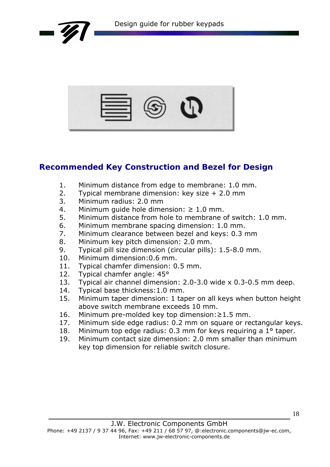

|--|--|

# **Recommended Key Construction and Bezel for Design**

- 1. Minimum distance from edge to membrane: 1.0 mm.
- 2. Typical membrane dimension: key size + 2.0 mm
- 3. Minimum radius: 2.0 mm
- 4. Minimum quide hole dimension:  $\geq 1.0$  mm.
- 5. Minimum distance from hole to membrane of switch: 1.0 mm.
- 6. Minimum membrane spacing dimension: 1.0 mm.
- 7. Minimum clearance between bezel and keys: 0.3 mm
- 8. Minimum key pitch dimension: 2.0 mm.
- 9. Typical pill size dimension (circular pills): 1.5-8.0 mm.
- 10. Minimum dimension:0.6 mm.
- 11. Typical chamfer dimension: 0.5 mm.
- 12. Typical chamfer angle: 45<sup>o</sup>
- 13. Typical air channel dimension: 2.0-3.0 wide x 0.3-0.5 mm deep.
- 14. Typical base thickness:1.0 mm.
- 15. Minimum taper dimension: 1 taper on all keys when button height above switch membrane exceeds 10 mm.
- 16. Minimum pre-molded key top dimension:≥1.5 mm.
- 17. Minimum side edge radius: 0.2 mm on square or rectangular keys.
- 18. Minimum top edge radius: 0.3 mm for keys requiring a 1° taper.
- 19. Minimum contact size dimension: 2.0 mm smaller than minimum key top dimension for reliable switch closure.